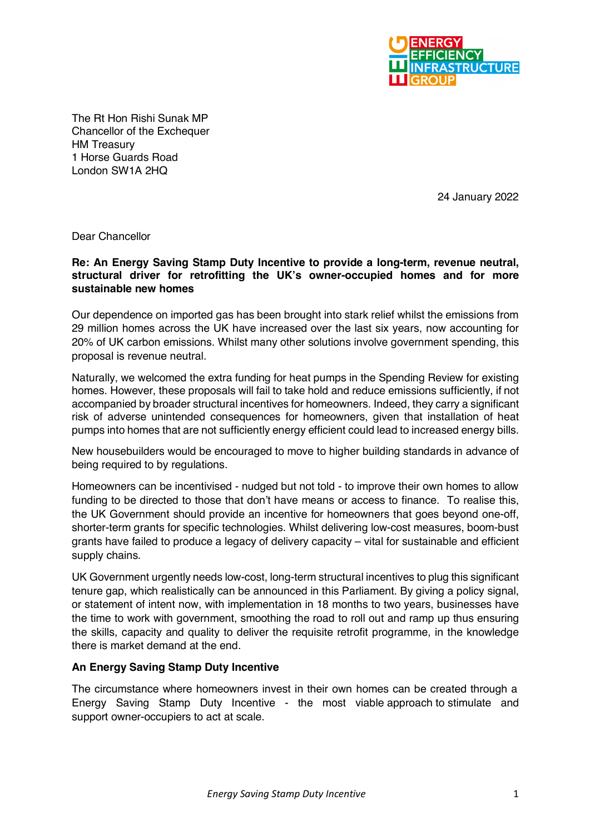

The Rt Hon Rishi Sunak MP Chancellor of the Exchequer HM Treasury 1 Horse Guards Road London SW1A 2HQ

24 January 2022

Dear Chancellor

## **Re: An Energy Saving Stamp Duty Incentive to provide a long-term, revenue neutral, structural driver for retrofitting the UK's owner-occupied homes and for more sustainable new homes**

Our dependence on imported gas has been brought into stark relief whilst the emissions from 29 million homes across the UK have increased over the last six years, now accounting for 20% of UK carbon emissions. Whilst many other solutions involve government spending, this proposal is revenue neutral.

Naturally, we welcomed the extra funding for heat pumps in the Spending Review for existing homes. However, these proposals will fail to take hold and reduce emissions sufficiently, if not accompanied by broader structural incentives for homeowners. Indeed, they carry a significant risk of adverse unintended consequences for homeowners, given that installation of heat pumps into homes that are not sufficiently energy efficient could lead to increased energy bills.

New housebuilders would be encouraged to move to higher building standards in advance of being required to by regulations.

Homeowners can be incentivised - nudged but not told - to improve their own homes to allow funding to be directed to those that don't have means or access to finance. To realise this, the UK Government should provide an incentive for homeowners that goes beyond one-off, shorter-term grants for specific technologies. Whilst delivering low-cost measures, boom-bust grants have failed to produce a legacy of delivery capacity – vital for sustainable and efficient supply chains.

UK Government urgently needs low-cost, long-term structural incentives to plug this significant tenure gap, which realistically can be announced in this Parliament. By giving a policy signal, or statement of intent now, with implementation in 18 months to two years, businesses have the time to work with government, smoothing the road to roll out and ramp up thus ensuring the skills, capacity and quality to deliver the requisite retrofit programme, in the knowledge there is market demand at the end.

## **An Energy Saving Stamp Duty Incentive**

The circumstance where homeowners invest in their own homes can be created through a Energy Saving Stamp Duty Incentive - the most viable approach to stimulate and support owner-occupiers to act at scale.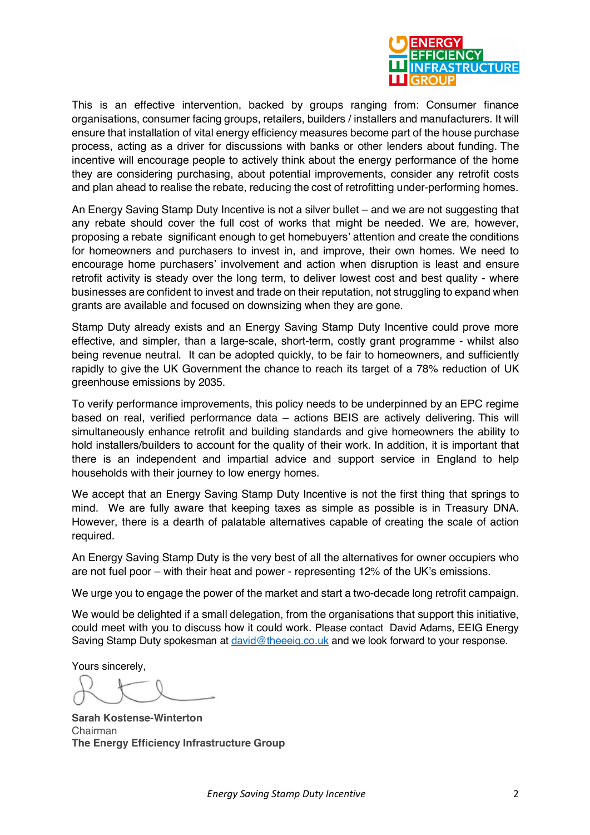

This is an effective intervention, backed by groups ranging from: Consumer finance organisations, consumer facing groups, retailers, builders / installers and manufacturers. It will ensure that installation of vital energy efficiency measures become part of the house purchase process, acting as a driver for discussions with banks or other lenders about funding. The incentive will encourage people to actively think about the energy performance of the home they are considering purchasing, about potential improvements, consider any retrofit costs and plan ahead to realise the rebate, reducing the cost of retrofitting under-performing homes.

An Energy Saving Stamp Duty Incentive is not a silver bullet – and we are not suggesting that any rebate should cover the full cost of works that might be needed. We are, however, proposing a rebate significant enough to get homebuyers' attention and create the conditions for homeowners and purchasers to invest in, and improve, their own homes. We need to encourage home purchasers' involvement and action when disruption is least and ensure retrofit activity is steady over the long term, to deliver lowest cost and best quality - where businesses are confident to invest and trade on their reputation, not struggling to expand when grants are available and focused on downsizing when they are gone.

Stamp Duty already exists and an Energy Saving Stamp Duty Incentive could prove more effective, and simpler, than a large-scale, short-term, costly grant programme - whilst also being revenue neutral. It can be adopted quickly, to be fair to homeowners, and sufficiently rapidly to give the UK Government the chance to reach its target of a 78% reduction of UK greenhouse emissions by 2035.

To verify performance improvements, this policy needs to be underpinned by an EPC regime based on real, verified performance data – actions BEIS are actively delivering. This will simultaneously enhance retrofit and building standards and give homeowners the ability to hold installers/builders to account for the quality of their work. In addition, it is important that there is an independent and impartial advice and support service in England to help households with their journey to low energy homes.

We accept that an Energy Saving Stamp Duty Incentive is not the first thing that springs to mind. We are fully aware that keeping taxes as simple as possible is in Treasury DNA. However, there is a dearth of palatable alternatives capable of creating the scale of action required.

An Energy Saving Stamp Duty is the very best of all the alternatives for owner occupiers who are not fuel poor – with their heat and power - representing 12% of the UK's emissions.

We urge you to engage the power of the market and start a two-decade long retrofit campaign.

We would be delighted if a small delegation, from the organisations that support this initiative, could meet with you to discuss how it could work. Please contact David Adams, EEIG Energy Saving Stamp Duty spokesman at david@theeeig.co.uk and we look forward to your response.

Yours sincerely,

**Sarah Kostense-Winterton** Chairman **The Energy Efficiency Infrastructure Group**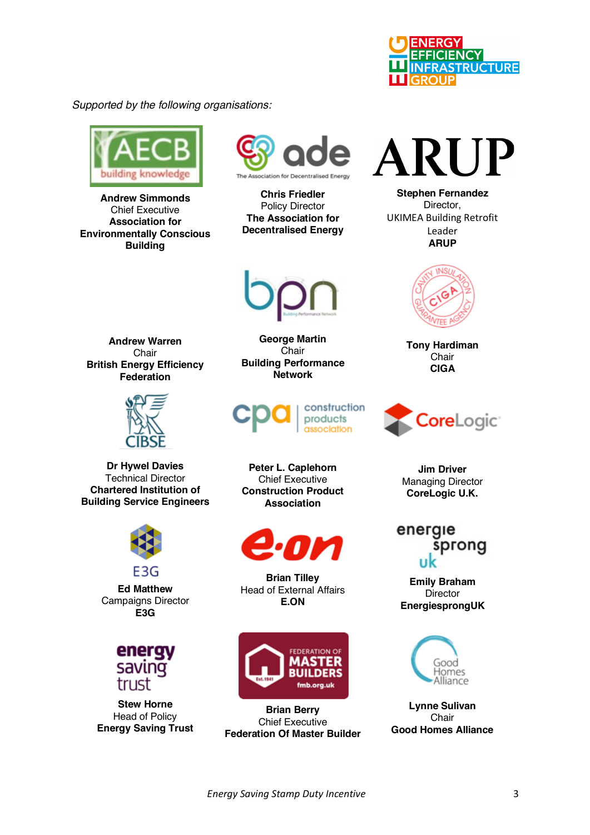

*Supported by the following organisations:*



**Andrew Simmonds** Chief Executive **Association for Environmentally Conscious Building**



**Chris Friedler**  Policy Director **The Association for Decentralised Energy**



**Andrew Warren** Chair **British Energy Efficiency Federation**



**Dr Hywel Davies** Technical Director **Chartered Institution of Building Service Engineers**



**Ed Matthew** Campaigns Director **E3G**



**Stew Horne** Head of Policy **Energy Saving Trust**

**George Martin Chair Building Performance Network**



**Peter L. Caplehorn** Chief Executive **Construction Product Association**



**Brian Tilley**  Head of External Affairs **E.ON**



**Brian Berry** Chief Executive **Federation Of Master Builder**

## RUP  $\mathbf{A}$

**Stephen Fernandez** Director, UKIMEA Building Retrofit Leader **ARUP**



**Tony Hardiman Chair CIGA**



**Jim Driver**  Managing Director **CoreLogic U.K.**

## energie sprong

**Emily Braham Director EnergiesprongUK**



**Lynne Sulivan Chair Good Homes Alliance**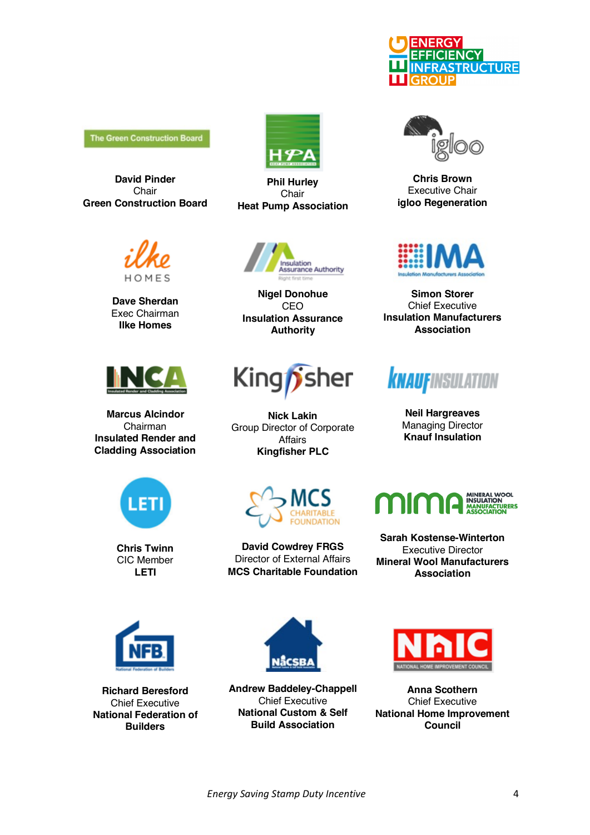

**The Green Construction Board** 

**David Pinder Chair Green Construction Board** 



**Dave Sherdan** Exec Chairman **Ilke Homes**



**Marcus Alcindor** Chairman **Insulated Render and Cladding Association**



**Phil Hurley** Chair **Heat Pump Association**



**Nigel Donohue** CEO **Insulation Assurance Authority**



**Nick Lakin** Group Director of Corporate Affairs **Kingfisher PLC**



**Chris Brown** Executive Chair **igloo Regeneration**



**Simon Storer**  Chief Executive **Insulation Manufacturers Association**



**Neil Hargreaves**  Managing Director **Knauf Insulation**



**Chris Twinn**  CIC Member **LETI**



**David Cowdrey FRGS** Director of External Affairs **MCS Charitable Foundation**



**Sarah Kostense-Winterton** Executive Director **Mineral Wool Manufacturers Association**



**Richard Beresford** Chief Executive **National Federation of Builders**



**Andrew Baddeley-Chappell**  Chief Executive **National Custom & Self Build Association**



**Anna Scothern**  Chief Executive **National Home Improvement Council**